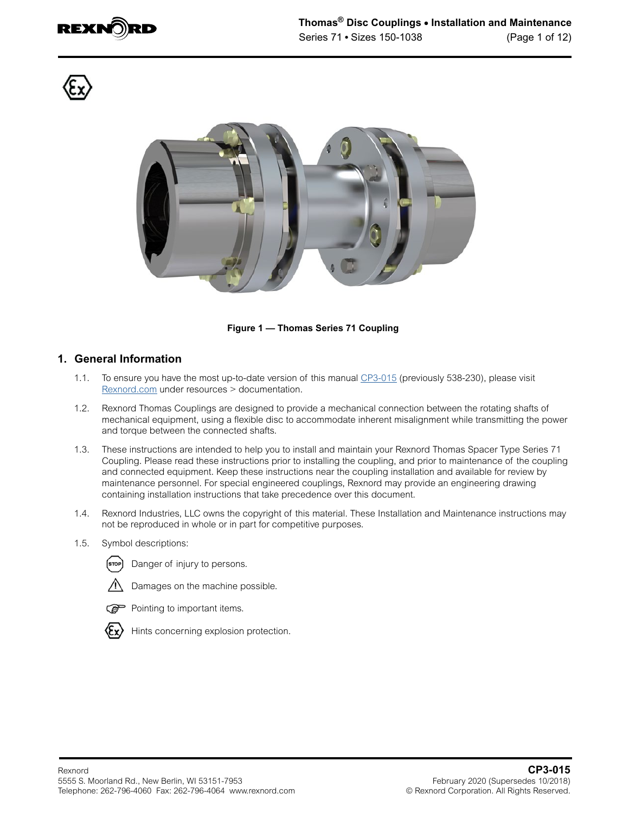





**Figure 1 — Thomas Series 71 Coupling**

#### **1. General Information**

- 1.1. To ensure you have the most up-to-date version of this manual [CP3-015](https://www.rexnord.com/contentitems/techlibrary/documents/538-230_manual) (previously 538-230), please visit [Rexnord.com](https://www.rexnord.com/home.aspx) under resources > documentation.
- 1.2. Rexnord Thomas Couplings are designed to provide a mechanical connection between the rotating shafts of mechanical equipment, using a flexible disc to accommodate inherent misalignment while transmitting the power and torque between the connected shafts.
- 1.3. These instructions are intended to help you to install and maintain your Rexnord Thomas Spacer Type Series 71 Coupling. Please read these instructions prior to installing the coupling, and prior to maintenance of the coupling and connected equipment. Keep these instructions near the coupling installation and available for review by maintenance personnel. For special engineered couplings, Rexnord may provide an engineering drawing containing installation instructions that take precedence over this document.
- 1.4. Rexnord Industries, LLC owns the copyright of this material. These Installation and Maintenance instructions may not be reproduced in whole or in part for competitive purposes.
- 1.5. Symbol descriptions:



(stop) Danger of injury to persons.



Damages on the machine possible.



Pointing to important items.



Hints concerning explosion protection.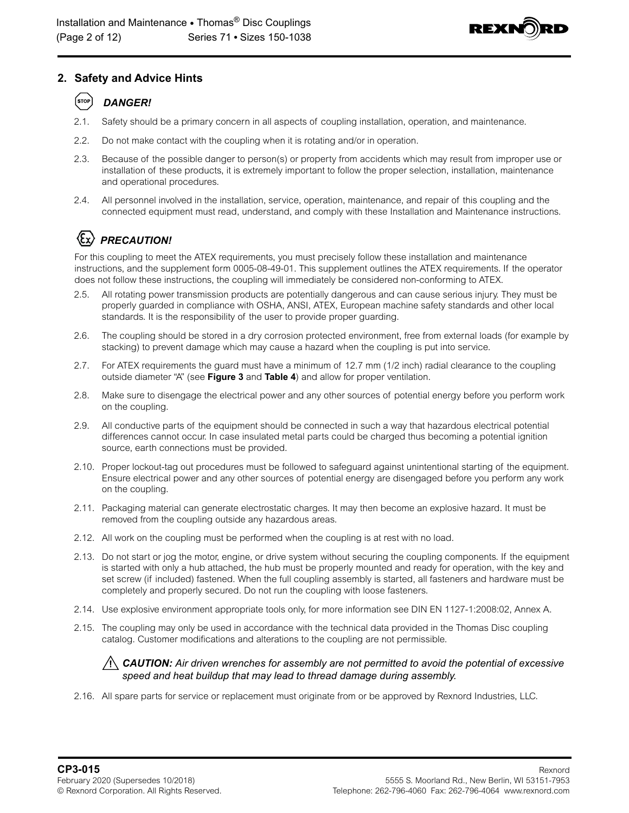

# **2. Safety and Advice Hints**

#### STOP *DANGER!*

- 2.1. Safety should be a primary concern in all aspects of coupling installation, operation, and maintenance.
- 2.2. Do not make contact with the coupling when it is rotating and/or in operation.
- 2.3. Because of the possible danger to person(s) or property from accidents which may result from improper use or installation of these products, it is extremely important to follow the proper selection, installation, maintenance and operational procedures.
- 2.4. All personnel involved in the installation, service, operation, maintenance, and repair of this coupling and the connected equipment must read, understand, and comply with these Installation and Maintenance instructions.

# *PRECAUTION!*

For this coupling to meet the ATEX requirements, you must precisely follow these installation and maintenance instructions, and the supplement form 0005-08-49-01. This supplement outlines the ATEX requirements. If the operator does not follow these instructions, the coupling will immediately be considered non-conforming to ATEX.

- 2.5. All rotating power transmission products are potentially dangerous and can cause serious injury. They must be properly guarded in compliance with OSHA, ANSI, ATEX, European machine safety standards and other local standards. It is the responsibility of the user to provide proper guarding.
- 2.6. The coupling should be stored in a dry corrosion protected environment, free from external loads (for example by stacking) to prevent damage which may cause a hazard when the coupling is put into service.
- 2.7. For ATEX requirements the guard must have a minimum of 12.7 mm (1/2 inch) radial clearance to the coupling outside diameter "A" (see **[Figure 3](#page-3-0)** and **[Table 4](#page-9-0)**) and allow for proper ventilation.
- 2.8. Make sure to disengage the electrical power and any other sources of potential energy before you perform work on the coupling.
- 2.9. All conductive parts of the equipment should be connected in such a way that hazardous electrical potential differences cannot occur. In case insulated metal parts could be charged thus becoming a potential ignition source, earth connections must be provided.
- 2.10. Proper lockout-tag out procedures must be followed to safeguard against unintentional starting of the equipment. Ensure electrical power and any other sources of potential energy are disengaged before you perform any work on the coupling.
- 2.11. Packaging material can generate electrostatic charges. It may then become an explosive hazard. It must be removed from the coupling outside any hazardous areas.
- 2.12. All work on the coupling must be performed when the coupling is at rest with no load.
- 2.13. Do not start or jog the motor, engine, or drive system without securing the coupling components. If the equipment is started with only a hub attached, the hub must be properly mounted and ready for operation, with the key and set screw (if included) fastened. When the full coupling assembly is started, all fasteners and hardware must be completely and properly secured. Do not run the coupling with loose fasteners.
- 2.14. Use explosive environment appropriate tools only, for more information see DIN EN 1127-1:2008:02, Annex A.
- 2.15. The coupling may only be used in accordance with the technical data provided in the Thomas Disc coupling catalog. Customer modifications and alterations to the coupling are not permissible.

#### *CAUTION: Air driven wrenches for assembly are not permitted to avoid the potential of excessive speed and heat buildup that may lead to thread damage during assembly.*

2.16. All spare parts for service or replacement must originate from or be approved by Rexnord Industries, LLC.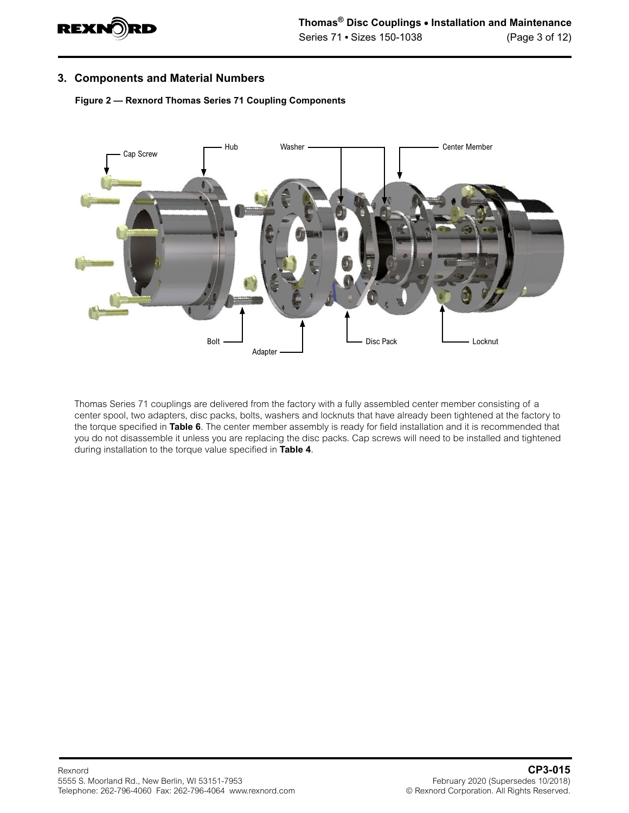

#### **3. Components and Material Numbers**

**Figure 2 — Rexnord Thomas Series 71 Coupling Components**



Thomas Series 71 couplings are delivered from the factory with a fully assembled center member consisting of a center spool, two adapters, disc packs, bolts, washers and locknuts that have already been tightened at the factory to the torque specified in **[Table 6](#page-11-0)**. The center member assembly is ready for field installation and it is recommended that you do not disassemble it unless you are replacing the disc packs. Cap screws will need to be installed and tightened during installation to the torque value specified in **[Table 4](#page-9-0)**.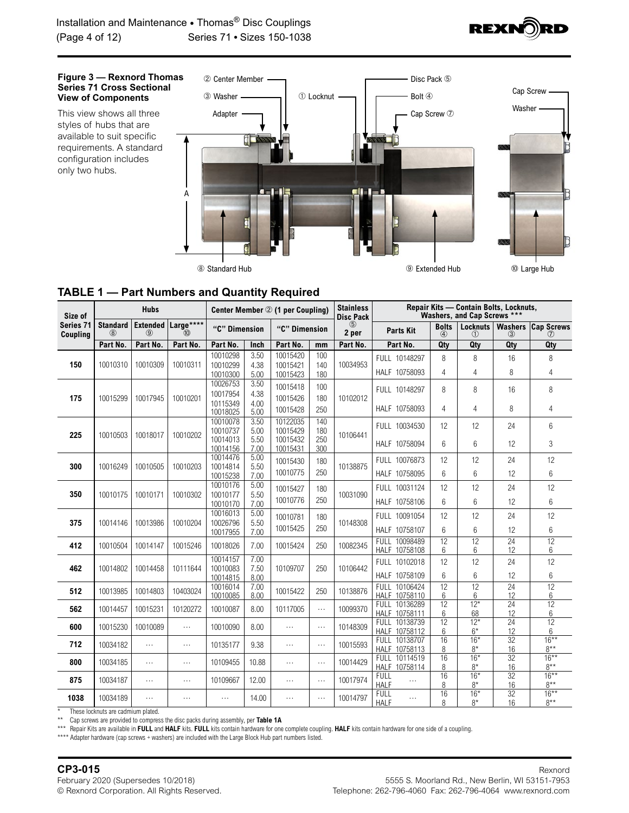

<span id="page-3-0"></span>

### <span id="page-3-1"></span>**TABLE 1 — Part Numbers and Quantity Required**

| Size of                             |                        | <b>Hubs</b>                      |                   | Center Member 2 (1 per Coupling)             |                              |                                              |                          | <b>Stainless</b><br><b>Disc Pack</b> | Repair Kits - Contain Bolts, Locknuts,<br>Washers, and Cap Screws *** |                   |                        |                       |                          |
|-------------------------------------|------------------------|----------------------------------|-------------------|----------------------------------------------|------------------------------|----------------------------------------------|--------------------------|--------------------------------------|-----------------------------------------------------------------------|-------------------|------------------------|-----------------------|--------------------------|
| <b>Series 71</b><br><b>Coupling</b> | <b>Standard</b><br>(8) | <b>Extended</b><br>$\circled{9}$ | Large****<br>(10) | "C" Dimension                                |                              | "C" Dimension                                |                          | $\circled{5}$<br>2 per               | <b>Parts Kit</b>                                                      | <b>Bolts</b><br>4 | <b>Locknuts</b><br>(1) | <b>Washers</b><br>(3) | <b>Cap Screws</b><br>(7) |
|                                     | Part No.               | Part No.                         | Part No.          | Part No.                                     | Inch                         | Part No.                                     | mm                       | Part No.                             | Part No.                                                              | Qty               | Qty                    | Qty                   | Qty                      |
| 150                                 | 10010310               | 10010309                         | 10010311          | 10010298<br>10010299<br>10010300             | 3.50<br>4.38<br>5.00         | 10015420<br>10015421<br>10015423             | 100<br>140<br>180        | 10034953                             | FULL 10148297<br>HALF 10758093                                        | 8<br>4            | 8<br>$\overline{4}$    | 16<br>8               | 8<br>$\overline{4}$      |
| 175                                 | 10015299               | 10017945                         | 10010201          | 10026753<br>10017954<br>10115349<br>10018025 | 3.50<br>4.38<br>4.00<br>5.00 | 10015418<br>10015426<br>10015428             | 100<br>180<br>250        | 10102012                             | FULL 10148297<br>HALF 10758093                                        | 8<br>4            | 8<br>4                 | 16<br>8               | 8<br>4                   |
| 225                                 | 10010503               | 10018017                         | 10010202          | 10010078<br>10010737<br>10014013<br>10014156 | 3.50<br>5.00<br>5.50<br>7.00 | 10122035<br>10015429<br>10015432<br>10015431 | 140<br>180<br>250<br>300 | 10106441                             | FULL 10034530<br>HALF 10758094                                        | 12<br>6           | 12<br>6                | 24<br>12              | 6<br>3                   |
| 300                                 | 10016249               | 10010505                         | 10010203          | 10014476<br>10014814<br>10015238             | 5.00<br>5.50<br>7.00         | 10015430<br>10010775                         | 180<br>250               | 10138875                             | FULL 10076873<br>HALF 10758095                                        | 12<br>6           | 12<br>6                | 24<br>12              | 12<br>6                  |
| 350                                 | 10010175               | 10010171                         | 10010302          | 10010176<br>10010177<br>10010170             | 5.00<br>5.50<br>7.00         | 10015427<br>10010776                         | 180<br>250               | 10031090                             | FULL 10031124<br>HALF 10758106                                        | 12<br>6           | 12<br>6                | 24<br>12              | 12<br>6                  |
| 375                                 | 10014146               | 10013986                         | 10010204          | 10016013<br>10026796<br>10017955             | 5.00<br>5.50<br>7.00         | 10010781<br>10015425                         | 180<br>250               | 10148308                             | FULL 10091054<br>HALF 10758107                                        | 12<br>6           | 12<br>6                | 24<br>12              | 12<br>6                  |
| 412                                 | 10010504               | 10014147                         | 10015246          | 10018026                                     | 7.00                         | 10015424                                     | 250                      | 10082345                             | FULL 10098489<br>HALF 10758108                                        | 12<br>6           | 12<br>6                | $\overline{24}$<br>12 | $\overline{12}$<br>6     |
| 462                                 | 10014802               | 10014458                         | 10111644          | 10014157<br>10010083<br>10014815             | 7.00<br>7.50<br>8.00         | 10109707                                     | 250                      | 10106442                             | FULL 10102018<br>HALF 10758109                                        | 12<br>6           | 12<br>6                | 24<br>12              | 12<br>6                  |
| 512                                 | 10013985               | 10014803                         | 10403024          | 10016014<br>10010085                         | 7.00<br>8.00                 | 10015422                                     | 250                      | 10138876                             | FULL 10106424<br>HALF 10758110                                        | 12<br>6           | 12<br>6                | 24<br>12              | 12<br>6                  |
| 562                                 | 10014457               | 10015231                         | 10120272          | 10010087                                     | 8.00                         | 10117005                                     | $\ddotsc$                | 10099370                             | FULL 10136289<br>HALF 10758111                                        | 12<br>6           | $12*$<br>68            | 24<br>12              | $\overline{12}$<br>6     |
| 600                                 | 10015230               | 10010089                         | $\sim$ .          | 10010090                                     | 8.00                         | .                                            | $\ldots$                 | 10148309                             | FULL 10138739<br>HALF 10758112                                        | 12<br>6           | $12*$<br>$6*$          | 24<br>12              | 12<br>6                  |
| 712                                 | 10034182               | $\sim$ $\sim$                    | $\cdots$          | 10135177                                     | 9.38                         | $\cdots$                                     | $\ldots$                 | 10015593                             | FULL 10138707<br>HALF 10758113                                        | 16<br>8           | $16*$<br>$8*$          | 32<br>16              | $16***$<br>$8***$        |
| 800                                 | 10034185               | $\ldots$                         | $\cdots$          | 10109455                                     | 10.88                        | $\ddotsc$                                    | $\ddotsc$                | 10014429                             | FULL 10114519<br>HALF 10758114                                        | 16<br>8           | $16*$<br>$8*$          | 32<br>16              | $16***$<br>$8***$        |
| 875                                 | 10034187               | $\ldots$                         | $\cdots$          | 10109667                                     | 12.00                        | $\ddotsc$                                    | $\ddotsc$                | 10017974                             | <b>FULL</b><br><b>HALF</b>                                            | 16<br>8           | $16*$<br>$8*$          | 32<br>16              | $16***$<br>$8***$        |
| 1038                                | 10034189               | $\ldots$                         | $\cdots$          | $\ldots$                                     | 14.00                        | $\ddotsc$                                    | $\ldots$                 | 10014797                             | <b>FULL</b><br>.<br><b>HALF</b>                                       | 16<br>8           | $16*$<br>$8*$          | 32<br>16              | $16***$<br>$8***$        |

These locknuts are cadmium plated.

\*\* Cap screws are provided to compress the disc packs during assembly, per **Table 1A**

\*\*\* Repair Kits are available in **FULL** and **HALF** kits. **FULL** kits contain hardware for one complete coupling. **HALF** kits contain hardware for one side of a coupling.

\*\*\*\* Adapter hardware (cap screws + washers) are included with the Large Block Hub part numbers listed.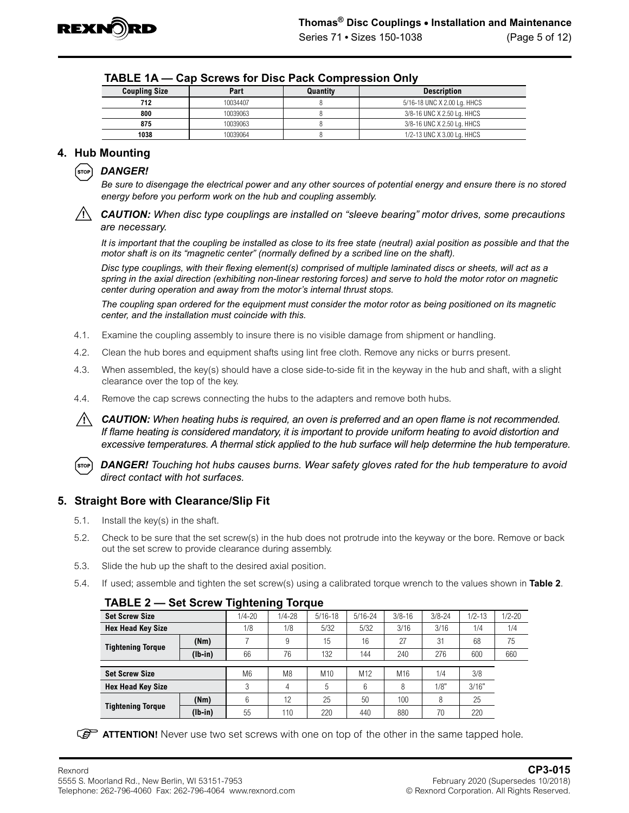

| <b>Coupling Size</b> | Part     | Quantity | <b>Description</b>          |
|----------------------|----------|----------|-----------------------------|
| 712                  | 10034407 |          | 5/16-18 UNC X 2.00 Lg. HHCS |
| 800                  | 10039063 |          | 3/8-16 UNC X 2.50 Lg. HHCS  |
| 875                  | 10039063 |          | 3/8-16 UNC X 2.50 Lg. HHCS  |
| 1038                 | 10039064 |          | 1/2-13 UNC X 3.00 Lg. HHCS  |

<span id="page-4-0"></span>

| TABLE 1A - Cap Screws for Disc Pack Compression Only |  |  |  |  |  |  |
|------------------------------------------------------|--|--|--|--|--|--|
|------------------------------------------------------|--|--|--|--|--|--|

# **4. Hub Mounting**



*Be sure to disengage the electrical power and any other sources of potential energy and ensure there is no stored energy before you perform work on the hub and coupling assembly.*

*CAUTION: When disc type couplings are installed on "sleeve bearing" motor drives, some precautions are necessary.* 

*It is important that the coupling be installed as close to its free state (neutral) axial position as possible and that the motor shaft is on its "magnetic center" (normally defined by a scribed line on the shaft).* 

*Disc type couplings, with their flexing element(s) comprised of multiple laminated discs or sheets, will act as a spring in the axial direction (exhibiting non-linear restoring forces) and serve to hold the motor rotor on magnetic center during operation and away from the motor's internal thrust stops.*

*The coupling span ordered for the equipment must consider the motor rotor as being positioned on its magnetic center, and the installation must coincide with this.*

- 4.1. Examine the coupling assembly to insure there is no visible damage from shipment or handling.
- 4.2. Clean the hub bores and equipment shafts using lint free cloth. Remove any nicks or burrs present.
- 4.3. When assembled, the key(s) should have a close side-to-side fit in the keyway in the hub and shaft, with a slight clearance over the top of the key.
- 4.4. Remove the cap screws connecting the hubs to the adapters and remove both hubs.

*CAUTION: When heating hubs is required, an oven is preferred and an open flame is not recommended. If flame heating is considered mandatory, it is important to provide uniform heating to avoid distortion and excessive temperatures. A thermal stick applied to the hub surface will help determine the hub temperature.*

*DANGER! Touching hot hubs causes burns. Wear safety gloves rated for the hub temperature to avoid*  (stop) *direct contact with hot surfaces.*

#### **5. Straight Bore with Clearance/Slip Fit**

- 5.1. Install the key(s) in the shaft.
- 5.2. Check to be sure that the set screw(s) in the hub does not protrude into the keyway or the bore. Remove or back out the set screw to provide clearance during assembly.
- 5.3. Slide the hub up the shaft to the desired axial position.
- 5.4. If used; assemble and tighten the set screw(s) using a calibrated torque wrench to the values shown in **Table 2**.

| <b>Set Screw Size</b>    |           | $1/4 - 20$     | $1/4 - 28$     | $5/16 - 18$     | $5/16 - 24$     | $3/8 - 16$ | $3/8 - 24$ | $1/2 - 13$ | $1/2 - 20$ |
|--------------------------|-----------|----------------|----------------|-----------------|-----------------|------------|------------|------------|------------|
| <b>Hex Head Key Size</b> |           | 1/8            | 1/8            | 5/32            | 5/32            | 3/16       | 3/16       | 1/4        | 1/4        |
| <b>Tightening Torque</b> | (Nm)      |                | 9              | 15              | 16              | 27         | 31         | 68         | 75         |
|                          | $(lb-in)$ | 66             | 76             | 132             | 144             | 240        | 276        | 600        | 660        |
|                          |           |                |                |                 |                 |            |            |            |            |
| <b>Set Screw Size</b>    |           | M <sub>6</sub> | M <sub>8</sub> | M <sub>10</sub> | M <sub>12</sub> | M16        | 1/4        | 3/8        |            |
| <b>Hex Head Key Size</b> |           | 3              | 4              | 5               | 6               | 8          | 1/8"       | 3/16"      |            |
|                          | (Nm)      | 6              | 12             | 25              | 50              | 100        | 8          | 25         |            |
| <b>Tightening Torque</b> | $(lb-in)$ | 55             | 110            | 220             | 440             | 880        | 70         | 220        |            |

#### **TABLE 2 — Set Screw Tightening Torque**

**ATTENTION!** Never use two set screws with one on top of the other in the same tapped hole.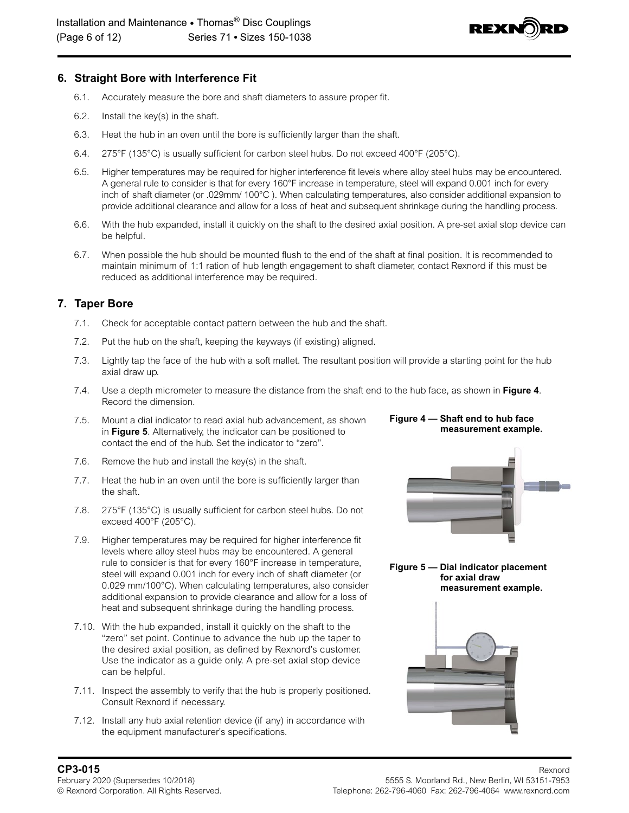

#### **6. Straight Bore with Interference Fit**

- 6.1. Accurately measure the bore and shaft diameters to assure proper fit.
- 6.2. Install the key(s) in the shaft.
- 6.3. Heat the hub in an oven until the bore is sufficiently larger than the shaft.
- 6.4. 275°F (135°C) is usually sufficient for carbon steel hubs. Do not exceed 400°F (205°C).
- 6.5. Higher temperatures may be required for higher interference fit levels where alloy steel hubs may be encountered. A general rule to consider is that for every 160°F increase in temperature, steel will expand 0.001 inch for every inch of shaft diameter (or .029mm/ 100°C ). When calculating temperatures, also consider additional expansion to provide additional clearance and allow for a loss of heat and subsequent shrinkage during the handling process.
- 6.6. With the hub expanded, install it quickly on the shaft to the desired axial position. A pre-set axial stop device can be helpful.
- 6.7. When possible the hub should be mounted flush to the end of the shaft at final position. It is recommended to maintain minimum of 1:1 ration of hub length engagement to shaft diameter, contact Rexnord if this must be reduced as additional interference may be required.

# **7. Taper Bore**

- 7.1. Check for acceptable contact pattern between the hub and the shaft.
- 7.2. Put the hub on the shaft, keeping the keyways (if existing) aligned.
- 7.3. Lightly tap the face of the hub with a soft mallet. The resultant position will provide a starting point for the hub axial draw up.
- 7.4. Use a depth micrometer to measure the distance from the shaft end to the hub face, as shown in **Figure 4**. Record the dimension.
- 7.5. Mount a dial indicator to read axial hub advancement, as shown in **Figure 5**. Alternatively, the indicator can be positioned to contact the end of the hub. Set the indicator to "zero".
- 7.6. Remove the hub and install the key(s) in the shaft.
- 7.7. Heat the hub in an oven until the bore is sufficiently larger than the shaft.
- 7.8. 275°F (135°C) is usually sufficient for carbon steel hubs. Do not exceed 400°F (205°C).
- 7.9. Higher temperatures may be required for higher interference fit levels where alloy steel hubs may be encountered. A general rule to consider is that for every 160°F increase in temperature, steel will expand 0.001 inch for every inch of shaft diameter (or 0.029 mm/100°C). When calculating temperatures, also consider additional expansion to provide clearance and allow for a loss of heat and subsequent shrinkage during the handling process.
- 7.10. With the hub expanded, install it quickly on the shaft to the "zero" set point. Continue to advance the hub up the taper to the desired axial position, as defined by Rexnord's customer. Use the indicator as a guide only. A pre-set axial stop device can be helpful.
- 7.11. Inspect the assembly to verify that the hub is properly positioned. Consult Rexnord if necessary.
- 7.12. Install any hub axial retention device (if any) in accordance with the equipment manufacturer's specifications.





#### **Figure 5 — Dial indicator placement for axial draw measurement example.**

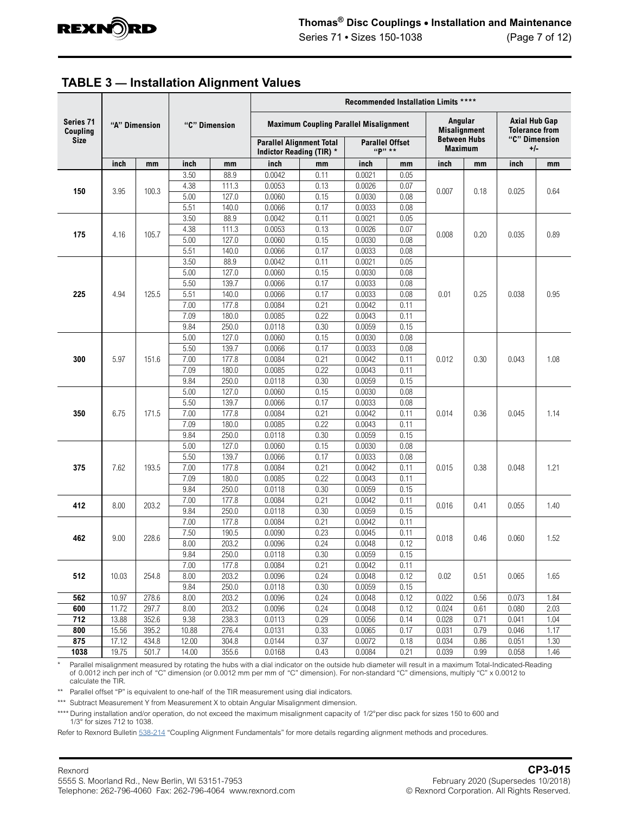

<span id="page-6-0"></span>

|                                      |               |       |               |                    |                                                                                                            |              | Recommended Installation Limits **** |              |                                                       |      |                                                                |      |
|--------------------------------------|---------------|-------|---------------|--------------------|------------------------------------------------------------------------------------------------------------|--------------|--------------------------------------|--------------|-------------------------------------------------------|------|----------------------------------------------------------------|------|
| Series 71<br>Coupling<br><b>Size</b> | "A" Dimension |       | "C" Dimension |                    | <b>Maximum Coupling Parallel Misalignment</b><br><b>Parallel Alignment Total</b><br><b>Parallel Offset</b> |              |                                      |              | Angular<br><b>Misalignment</b><br><b>Between Hubs</b> |      | <b>Axial Hub Gap</b><br><b>Tolerance from</b><br>"C" Dimension |      |
|                                      |               |       |               |                    | Indictor Reading (TIR) *                                                                                   |              | "P" **                               |              | <b>Maximum</b>                                        |      | $+/-$                                                          |      |
|                                      | inch          | mm    | inch          | mm                 | inch                                                                                                       | mm           | inch                                 | mm           | inch                                                  | mm   | inch                                                           | mm   |
|                                      |               |       | 3.50          | 88.9               | 0.0042                                                                                                     | 0.11         | 0.0021                               | 0.05         |                                                       |      |                                                                |      |
| 150                                  | 3.95          | 100.3 | 4.38          | 111.3              | 0.0053                                                                                                     | 0.13         | 0.0026                               | 0.07         | 0.007                                                 |      | 0.18<br>0.025                                                  | 0.64 |
|                                      |               |       | 5.00          | 127.0              | 0.0060                                                                                                     | 0.15         | 0.0030                               | 0.08         |                                                       |      |                                                                |      |
|                                      |               |       | 5.51          | 140.0              | 0.0066                                                                                                     | 0.17         | 0.0033                               | 0.08         |                                                       |      |                                                                |      |
|                                      |               |       | 3.50          | 88.9               | 0.0042                                                                                                     | 0.11         | 0.0021                               | 0.05         |                                                       |      |                                                                |      |
| 175                                  | 4.16          | 105.7 | 4.38          | 111.3              | 0.0053                                                                                                     | 0.13         | 0.0026                               | 0.07         | 0.008                                                 | 0.20 | 0.035                                                          | 0.89 |
|                                      |               |       | 5.00          | 127.0              | 0.0060                                                                                                     | 0.15         | 0.0030                               | 0.08         |                                                       |      |                                                                |      |
|                                      |               |       | 5.51          | 140.0              | 0.0066                                                                                                     | 0.17         | 0.0033                               | 0.08         |                                                       |      |                                                                |      |
|                                      |               |       | 3.50          | 88.9               | 0.0042                                                                                                     | 0.11         | 0.0021                               | 0.05         |                                                       |      |                                                                |      |
|                                      |               |       | 5.00          | 127.0              | 0.0060                                                                                                     | 0.15         | 0.0030                               | 0.08         |                                                       |      |                                                                |      |
|                                      |               |       | 5.50          | 139.7              | 0.0066                                                                                                     | 0.17         | 0.0033                               | 0.08         |                                                       | 0.25 |                                                                |      |
| 225                                  | 4.94          | 125.5 | 5.51          | 140.0              | 0.0066                                                                                                     | 0.17         | 0.0033                               | 0.08         | 0.01                                                  |      | 0.038                                                          | 0.95 |
|                                      |               |       | 7.00          | 177.8              | 0.0084                                                                                                     | 0.21         | 0.0042                               | 0.11         |                                                       |      |                                                                |      |
|                                      |               |       | 7.09          | 180.0              | 0.0085                                                                                                     | 0.22         | 0.0043                               | 0.11         |                                                       |      |                                                                |      |
|                                      |               |       | 9.84          | 250.0              | 0.0118                                                                                                     | 0.30         | 0.0059                               | 0.15         |                                                       |      |                                                                |      |
|                                      |               |       | 5.00          | 127.0              | 0.0060<br>0.0066                                                                                           | 0.15         | 0.0030                               | 0.08         |                                                       |      |                                                                |      |
| 300                                  |               |       | 5.50<br>7.00  | 139.7<br>177.8     | 0.0084                                                                                                     | 0.17<br>0.21 | 0.0033<br>0.0042                     | 0.08<br>0.11 |                                                       | 0.30 |                                                                | 1.08 |
|                                      | 5.97          | 151.6 |               |                    |                                                                                                            |              |                                      |              | 0.012                                                 |      | 0.043                                                          |      |
|                                      |               |       | 7.09          | 180.0              | 0.0085                                                                                                     | 0.22         | 0.0043                               | 0.11         |                                                       |      |                                                                |      |
|                                      |               |       | 9.84<br>5.00  | 250.0<br>127.0     | 0.0118<br>0.0060                                                                                           | 0.30<br>0.15 | 0.0059<br>0.0030                     | 0.15<br>0.08 |                                                       |      |                                                                |      |
|                                      |               |       | 5.50          | 139.7              | 0.0066                                                                                                     | 0.17         | 0.0033                               | 0.08         |                                                       |      |                                                                |      |
| 350                                  | 6.75          | 171.5 | 7.00          | 177.8              | 0.0084                                                                                                     | 0.21         | 0.0042                               | 0.11         | 0.014                                                 | 0.36 | 0.045                                                          | 1.14 |
|                                      |               |       | 7.09          | 180.0              | 0.0085                                                                                                     | 0.22         | 0.0043                               | 0.11         |                                                       |      |                                                                |      |
|                                      |               |       | 9.84          | 250.0              | 0.0118                                                                                                     | 0.30         | 0.0059                               | 0.15         |                                                       |      |                                                                |      |
|                                      |               |       | 5.00          | 127.0              | 0.0060                                                                                                     | 0.15         | 0.0030                               | 0.08         |                                                       |      |                                                                |      |
|                                      |               |       | 5.50          | 139.7              | 0.0066                                                                                                     | 0.17         | 0.0033                               | 0.08         |                                                       |      |                                                                |      |
| 375                                  | 7.62          | 193.5 | 7.00          | 177.8              | 0.0084                                                                                                     | 0.21         | 0.0042                               | 0.11         | 0.015                                                 | 0.38 | 0.048                                                          | 1.21 |
|                                      |               |       | 7.09          | 180.0              | 0.0085                                                                                                     | 0.22         | 0.0043                               | 0.11         |                                                       |      |                                                                |      |
|                                      |               |       | 9.84          | 250.0              | 0.0118                                                                                                     | 0.30         | 0.0059                               | 0.15         |                                                       |      |                                                                |      |
|                                      |               |       | 7.00          | 177.8              | 0.0084                                                                                                     | 0.21         | 0.0042                               | 0.11         |                                                       |      |                                                                |      |
| 412                                  | 8.00          | 203.2 | 9.84          | 250.0              | 0.0118                                                                                                     | 0.30         | 0.0059                               | 0.15         | 0.016                                                 | 0.41 | 0.055                                                          | 1.40 |
|                                      |               |       | 7.00          | 177.8              | 0.0084                                                                                                     | 0.21         | 0.0042                               | 0.11         |                                                       |      |                                                                |      |
|                                      |               |       | 7.50          | 190.5              | 0.0090                                                                                                     | 0.23         | 0.0045                               | 0.11         |                                                       |      |                                                                |      |
| 462                                  | 9.00          | 228.6 | 8.00          | 203.2              | 0.0096                                                                                                     | 0.24         | 0.0048                               | 0.12         | 0.018                                                 | 0.46 | 0.060                                                          | 1.52 |
|                                      |               |       | 9.84          | 250.0              | 0.0118                                                                                                     | 0.30         | 0.0059                               | 0.15         |                                                       |      |                                                                |      |
|                                      |               |       | 7.00          | 177.8              | 0.0084                                                                                                     | 0.21         | 0.0042                               | 0.11         |                                                       |      |                                                                |      |
| 512                                  | 10.03         | 254.8 | 8.00          | 203.2              | 0.0096                                                                                                     | 0.24         | 0.0048                               | 0.12         | 0.02                                                  | 0.51 | 0.065                                                          | 1.65 |
|                                      |               |       | 9.84          | 250.0              | 0.0118                                                                                                     | 0.30         | 0.0059                               | 0.15         |                                                       |      |                                                                |      |
| 562                                  | 10.97         | 278.6 | 8.00          | 203.2              | 0.0096                                                                                                     | 0.24         | 0.0048                               | 0.12         | 0.022                                                 | 0.56 | 0.073                                                          | 1.84 |
| 600                                  | 11.72         | 297.7 | 8.00          | $\overline{203.2}$ | 0.0096                                                                                                     | 0.24         | 0.0048                               | 0.12         | 0.024                                                 | 0.61 | 0.080                                                          | 2.03 |
| 712                                  | 13.88         | 352.6 | 9.38          | 238.3              | 0.0113                                                                                                     | 0.29         | 0.0056                               | 0.14         | 0.028                                                 | 0.71 | 0.041                                                          | 1.04 |
| 800                                  | 15.56         | 395.2 | 10.88         | 276.4              | 0.0131                                                                                                     | 0.33         | 0.0065                               | 0.17         | 0.031                                                 | 0.79 | 0.046                                                          | 1.17 |
| 875                                  | 17.12         | 434.8 | 12.00         | 304.8              | 0.0144                                                                                                     | 0.37         | 0.0072                               | 0.18         | 0.034                                                 | 0.86 | 0.051                                                          | 1.30 |
| 1038                                 | 19.75         | 501.7 | 14.00         | 355.6              | 0.0168                                                                                                     | 0.43         | 0.0084                               | 0.21         | 0.039                                                 | 0.99 | 0.058                                                          | 1.46 |

\* Parallel misalignment measured by rotating the hubs with a dial indicator on the outside hub diameter will result in a maximum Total-Indicated-Reading of 0.0012 inch per inch of "C" dimension (or 0.0012 mm per mm of "C" dimension). For non-standard "C" dimensions, multiply "C" x 0.0012 to calculate the TIR.

\*\* Parallel offset "P" is equivalent to one-half of the TIR measurement using dial indicators.

\*\*\* Subtract Measurement Y from Measurement X to obtain Angular Misalignment dimension.

\*\*\*\* During installation and/or operation, do not exceed the maximum misalignment capacity of 1/2°per disc pack for sizes 150 to 600 and 1/3° for sizes 712 to 1038.

Refer to Rexnord Bulletin [538-214](https://www.rexnord.com/contentitems/techlibrary/documents/538-214_manual) "Coupling Alignment Fundamentals" for more details regarding alignment methods and procedures.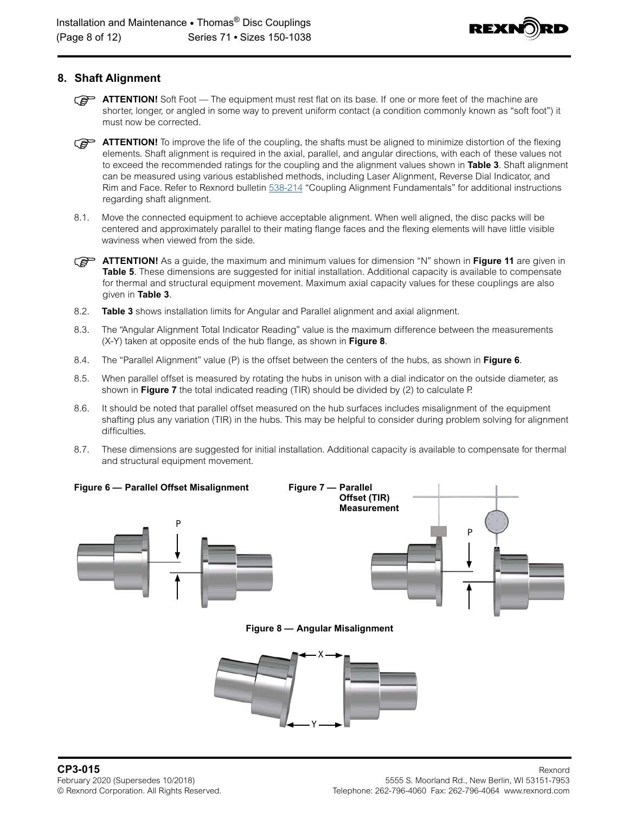

## **8. Shaft Alignment**

- **ATTENTION!** Soft Foot The equipment must rest flat on its base. If one or more feet of the machine are shorter, longer, or angled in some way to prevent uniform contact (a condition commonly known as "soft foot") it must now be corrected.
- **ATTENTION!** To improve the life of the coupling, the shafts must be aligned to minimize distortion of the flexing elements. Shaft alignment is required in the axial, parallel, and angular directions, with each of these values not to exceed the recommended ratings for the coupling and the alignment values shown in **[Table 3](#page-6-0)**. Shaft alignment can be measured using various established methods, including Laser Alignment, Reverse Dial Indicator, and Rim and Face. Refer to Rexnord bulletin [538-214](https://www.rexnord.com/contentitems/techlibrary/documents/538-214_manual) "Coupling Alignment Fundamentals" for additional instructions regarding shaft alignment.
- 8.1. Move the connected equipment to achieve acceptable alignment. When well aligned, the disc packs will be centered and approximately parallel to their mating flange faces and the flexing elements will have little visible waviness when viewed from the side.
- **ATTENTION!** As a guide, the maximum and minimum values for dimension "N" shown in **[Figure 11](#page-9-1)** are given in **[Table 5](#page-10-0)**. These dimensions are suggested for initial installation. Additional capacity is available to compensate for thermal and structural equipment movement. Maximum axial capacity values for these couplings are also given in **[Table 3](#page-6-0)**.
- 8.2. **[Table 3](#page-6-0)** shows installation limits for Angular and Parallel alignment and axial alignment.
- 8.3. The "Angular Alignment Total Indicator Reading" value is the maximum difference between the measurements (X-Y) taken at opposite ends of the hub flange, as shown in **Figure 8**.
- 8.4. The "Parallel Alignment" value (P) is the offset between the centers of the hubs, as shown in **Figure 6**.
- 8.5. When parallel offset is measured by rotating the hubs in unison with a dial indicator on the outside diameter, as shown in **Figure 7** the total indicated reading (TIR) should be divided by (2) to calculate P.
- 8.6. It should be noted that parallel offset measured on the hub surfaces includes misalignment of the equipment shafting plus any variation (TIR) in the hubs. This may be helpful to consider during problem solving for alignment difficulties.
- 8.7. These dimensions are suggested for initial installation. Additional capacity is available to compensate for thermal and structural equipment movement.



**Figure 8 — Angular Misalignment**

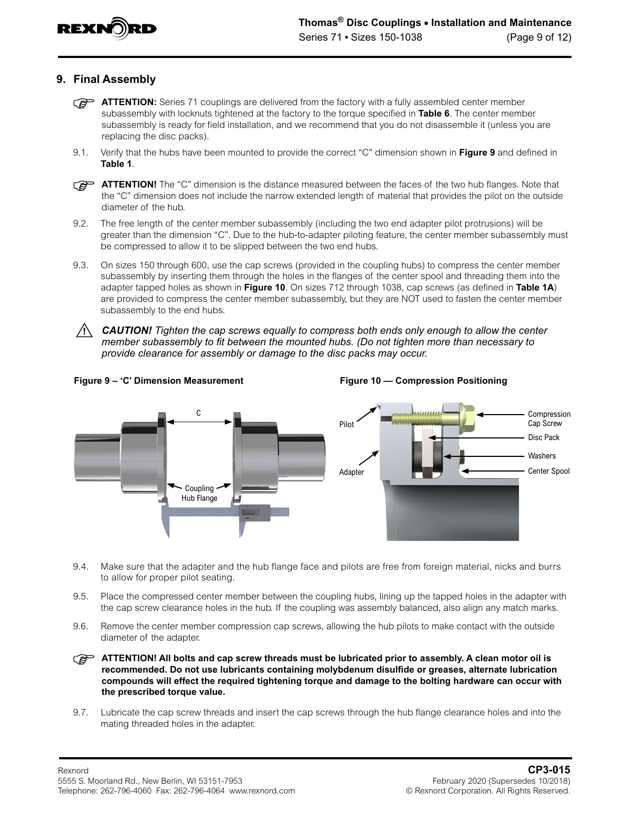

## **9. Final Assembly**

- **ATTENTION:** Series 71 couplings are delivered from the factory with a fully assembled center member subassembly with locknuts tightened at the factory to the torque specified in **[Table 6](#page-11-0)**. The center member subassembly is ready for field installation, and we recommend that you do not disassemble it (unless you are replacing the disc packs).
- 9.1. Verify that the hubs have been mounted to provide the correct "C" dimension shown in **Figure 9** and defined in **[Table 1](#page-3-1)**.

**ATTENTION!** The "C" dimension is the distance measured between the faces of the two hub flanges. Note that the "C" dimension does not include the narrow extended length of material that provides the pilot on the outside diameter of the hub.

- 9.2. The free length of the center member subassembly (including the two end adapter pilot protrusions) will be greater than the dimension "C". Due to the hub-to-adapter piloting feature, the center member subassembly must be compressed to allow it to be slipped between the two end hubs.
- 9.3. On sizes 150 through 600, use the cap screws (provided in the coupling hubs) to compress the center member subassembly by inserting them through the holes in the flanges of the center spool and threading them into the adapter tapped holes as shown in **Figure 10**. On sizes 712 through 1038, cap screws (as defined in **[Table 1A](#page-4-0)**) are provided to compress the center member subassembly, but they are NOT used to fasten the center member subassembly to the end hubs.
- *CAUTION! Tighten the cap screws equally to compress both ends only enough to allow the center member subassembly to fit between the mounted hubs. (Do not tighten more than necessary to provide clearance for assembly or damage to the disc packs may occur.*

<span id="page-8-0"></span>



- 9.4. Make sure that the adapter and the hub flange face and pilots are free from foreign material, nicks and burrs to allow for proper pilot seating.
- 9.5. Place the compressed center member between the coupling hubs, lining up the tapped holes in the adapter with the cap screw clearance holes in the hub. If the coupling was assembly balanced, also align any match marks.
- 9.6. Remove the center member compression cap screws, allowing the hub pilots to make contact with the outside diameter of the adapter.

**ATTENTION! All bolts and cap screw threads must be lubricated prior to assembly. A clean motor oil is recommended. Do not use lubricants containing molybdenum disulfide or greases, alternate lubrication compounds will effect the required tightening torque and damage to the bolting hardware can occur with the prescribed torque value.**

9.7. Lubricate the cap screw threads and insert the cap screws through the hub flange clearance holes and into the mating threaded holes in the adapter.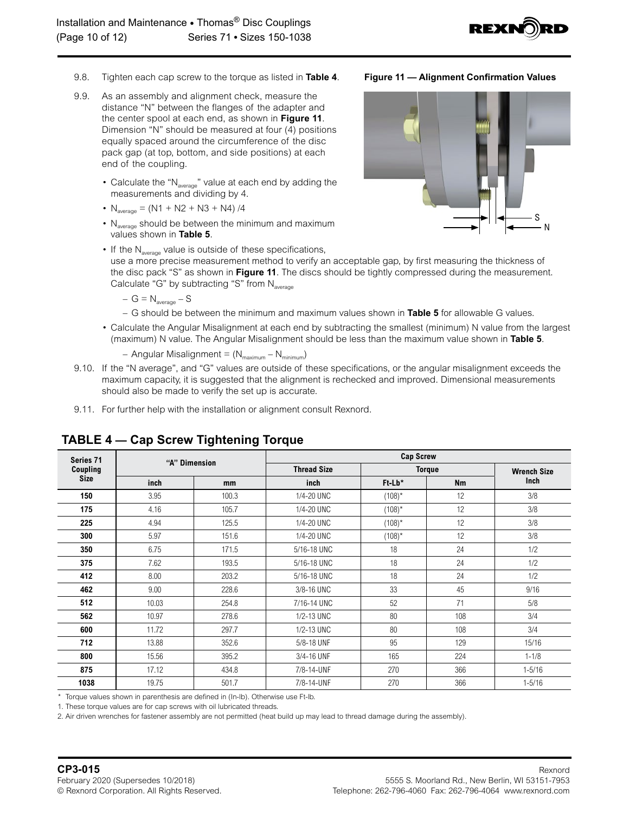

- 9.8. Tighten each cap screw to the torque as listed in **Table 4**.
- 9.9. As an assembly and alignment check, measure the distance "N" between the flanges of the adapter and the center spool at each end, as shown in **Figure 11**. Dimension "N" should be measured at four (4) positions equally spaced around the circumference of the disc pack gap (at top, bottom, and side positions) at each end of the coupling.
	- Calculate the " $N_{average}$ " value at each end by adding the measurements and dividing by 4.
	- $N_{average} = (N1 + N2 + N3 + N4) /4$
	- $N_{\text{average}}$  should be between the minimum and maximum values shown in **[Table 5](#page-10-0)**.
	- If the  $N_{\text{average}}$  value is outside of these specifications, use a more precise measurement method to verify an acceptable gap, by first measuring the thickness of the disc pack "S" as shown in **Figure 11**. The discs should be tightly compressed during the measurement. Calculate "G" by subtracting "S" from  $N_{\text{average}}$

$$
- G = N_{\text{average}} - S
$$

– G should be between the minimum and maximum values shown in **[Table 5](#page-10-0)** for allowable G values.

- Calculate the Angular Misalignment at each end by subtracting the smallest (minimum) N value from the largest (maximum) N value. The Angular Misalignment should be less than the maximum value shown in **[Table 5](#page-10-0)**.
	- Angular Misalignment =  $(N_{maximum} N_{minimum})$
- 9.10. If the "N average", and "G" values are outside of these specifications, or the angular misalignment exceeds the maximum capacity, it is suggested that the alignment is rechecked and improved. Dimensional measurements should also be made to verify the set up is accurate.
- 9.11. For further help with the installation or alignment consult Rexnord.

| Series 71   |       | "A" Dimension | <b>Cap Screw</b>   |           |               |                    |  |  |  |  |
|-------------|-------|---------------|--------------------|-----------|---------------|--------------------|--|--|--|--|
| Coupling    |       |               | <b>Thread Size</b> |           | <b>Torque</b> | <b>Wrench Size</b> |  |  |  |  |
| <b>Size</b> | inch  | mm            | inch               | $Ft$ -Lb* | <b>Nm</b>     | Inch               |  |  |  |  |
| 150         | 3.95  | 100.3         | 1/4-20 UNC         | $(108)^*$ | 12            | 3/8                |  |  |  |  |
| 175         | 4.16  | 105.7         | 1/4-20 UNC         | $(108)^*$ | 12            | 3/8                |  |  |  |  |
| 225         | 4.94  | 125.5         | 1/4-20 UNC         | $(108)^*$ | 12            | 3/8                |  |  |  |  |
| 300         | 5.97  | 151.6         | 1/4-20 UNC         | $(108)^*$ | 12            | 3/8                |  |  |  |  |
| 350         | 6.75  | 171.5         | 5/16-18 UNC        | 18        | 24            | 1/2                |  |  |  |  |
| 375         | 7.62  | 193.5         | 5/16-18 UNC        | 18        | 24            | 1/2                |  |  |  |  |
| 412         | 8.00  | 203.2         | 5/16-18 UNC        | 18        | 24            | 1/2                |  |  |  |  |
| 462         | 9.00  | 228.6         | 3/8-16 UNC         | 33        | 45            | 9/16               |  |  |  |  |
| 512         | 10.03 | 254.8         | 7/16-14 UNC        | 52        | 71            | 5/8                |  |  |  |  |
| 562         | 10.97 | 278.6         | 1/2-13 UNC         | 80        | 108           | 3/4                |  |  |  |  |
| 600         | 11.72 | 297.7         | 1/2-13 UNC         | 80        | 108           | 3/4                |  |  |  |  |
| 712         | 13.88 | 352.6         | 5/8-18 UNF         | 95        | 129           | 15/16              |  |  |  |  |
| 800         | 15.56 | 395.2         | 3/4-16 UNF         | 165       | 224           | $1 - 1/8$          |  |  |  |  |
| 875         | 17.12 | 434.8         | 7/8-14-UNF         | 270       | 366           | $1 - 5/16$         |  |  |  |  |
| 1038        | 19.75 | 501.7         | 7/8-14-UNF         | 270       | 366           | $1 - 5/16$         |  |  |  |  |

# <span id="page-9-0"></span>**TABLE 4 — Cap Screw Tightening Torque**

\* Torque values shown in parenthesis are defined in (In-lb). Otherwise use Ft-lb.

1. These torque values are for cap screws with oil lubricated threads.

2. Air driven wrenches for fastener assembly are not permitted (heat build up may lead to thread damage during the assembly).

<span id="page-9-1"></span>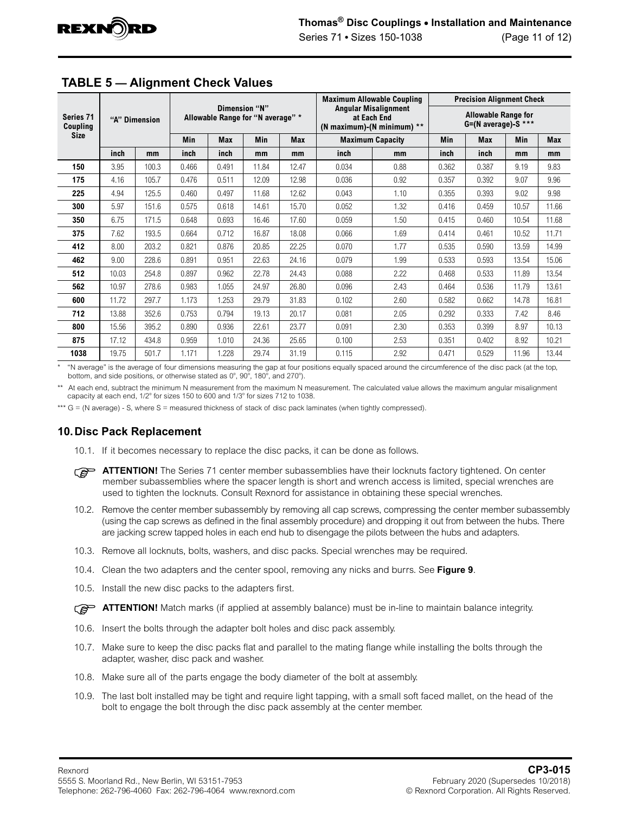

|                       |               |       |                                                    |       |                         |       |                                                                          | <b>Maximum Allowable Coupling</b>                 | <b>Precision Alignment Check</b> |            |       |       |
|-----------------------|---------------|-------|----------------------------------------------------|-------|-------------------------|-------|--------------------------------------------------------------------------|---------------------------------------------------|----------------------------------|------------|-------|-------|
| Series 71<br>Coupling | "A" Dimension |       | Dimension "N"<br>Allowable Range for "N average" * |       |                         |       | <b>Angular Misalignment</b><br>at Each End<br>(N maximum)-(N minimum) ** | <b>Allowable Range for</b><br>G=(N average)-S *** |                                  |            |       |       |
| <b>Size</b>           |               |       | Min<br><b>Min</b><br><b>Max</b><br><b>Max</b>      |       | <b>Maximum Capacity</b> |       | Min                                                                      | <b>Max</b>                                        | <b>Min</b>                       | <b>Max</b> |       |       |
|                       | inch<br>mm    |       | inch                                               | inch  | mm                      | mm    | inch                                                                     | mm                                                | inch                             | inch       | mm    | mm    |
| 150                   | 3.95          | 100.3 | 0.466                                              | 0.491 | 11.84                   | 12.47 | 0.034                                                                    | 0.88                                              | 0.362                            | 0.387      | 9.19  | 9.83  |
| 175                   | 4.16          | 105.7 | 0.476                                              | 0.511 | 12.09                   | 12.98 | 0.036                                                                    | 0.92                                              | 0.357                            | 0.392      | 9.07  | 9.96  |
| 225                   | 4.94          | 125.5 | 0.460                                              | 0.497 | 11.68                   | 12.62 | 0.043                                                                    | 1.10                                              | 0.355                            | 0.393      | 9.02  | 9.98  |
| 300                   | 5.97          | 151.6 | 0.575                                              | 0.618 | 14.61                   | 15.70 | 0.052                                                                    | 1.32                                              | 0.416                            | 0.459      | 10.57 | 11.66 |
| 350                   | 6.75          | 171.5 | 0.648                                              | 0.693 | 16.46                   | 17.60 | 0.059                                                                    | 1.50                                              | 0.415                            | 0.460      | 10.54 | 11.68 |
| 375                   | 7.62          | 193.5 | 0.664                                              | 0.712 | 16.87                   | 18.08 | 0.066                                                                    | 1.69                                              | 0.414                            | 0.461      | 10.52 | 11.71 |
| 412                   | 8.00          | 203.2 | 0.821                                              | 0.876 | 20.85                   | 22.25 | 0.070                                                                    | 1.77                                              | 0.535                            | 0.590      | 13.59 | 14.99 |
| 462                   | 9.00          | 228.6 | 0.891                                              | 0.951 | 22.63                   | 24.16 | 0.079                                                                    | 1.99                                              | 0.533                            | 0.593      | 13.54 | 15.06 |
| 512                   | 10.03         | 254.8 | 0.897                                              | 0.962 | 22.78                   | 24.43 | 0.088                                                                    | 2.22                                              | 0.468                            | 0.533      | 11.89 | 13.54 |
| 562                   | 10.97         | 278.6 | 0.983                                              | 1.055 | 24.97                   | 26.80 | 0.096                                                                    | 2.43                                              | 0.464                            | 0.536      | 11.79 | 13.61 |
| 600                   | 11.72         | 297.7 | 1.173                                              | 1.253 | 29.79                   | 31.83 | 0.102                                                                    | 2.60                                              | 0.582                            | 0.662      | 14.78 | 16.81 |
| 712                   | 13.88         | 352.6 | 0.753                                              | 0.794 | 19.13                   | 20.17 | 0.081                                                                    | 2.05                                              | 0.292                            | 0.333      | 7.42  | 8.46  |
| 800                   | 15.56         | 395.2 | 0.890                                              | 0.936 | 22.61                   | 23.77 | 0.091                                                                    | 2.30                                              | 0.353                            | 0.399      | 8.97  | 10.13 |
| 875                   | 17.12         | 434.8 | 0.959                                              | 1.010 | 24.36                   | 25.65 | 0.100                                                                    | 2.53                                              | 0.351                            | 0.402      | 8.92  | 10.21 |
| 1038                  | 19.75         | 501.7 | 1.171                                              | 1.228 | 29.74                   | 31.19 | 0.115                                                                    | 2.92                                              | 0.471                            | 0.529      | 11.96 | 13.44 |

# <span id="page-10-0"></span>**TABLE 5 — Alignment Check Values**

\* "N average" is the average of four dimensions measuring the gap at four positions equally spaced around the circumference of the disc pack (at the top, bottom, and side positions, or otherwise stated as  $0^\circ$ ,  $90^\circ$ ,  $180^\circ$ , and  $270^\circ$ ).

\*\* At each end, subtract the minimum N measurement from the maximum N measurement. The calculated value allows the maximum angular misalignment capacity at each end,  $1/2^\circ$  for sizes 150 to 600 and  $1/3^\circ$  for sizes 712 to 1038.

\*\*\* G = (N average) - S, where S = measured thickness of stack of disc pack laminates (when tightly compressed).

### **10.Disc Pack Replacement**

- 10.1. If it becomes necessary to replace the disc packs, it can be done as follows.
- **ATTENTION!** The Series 71 center member subassemblies have their locknuts factory tightened. On center member subassemblies where the spacer length is short and wrench access is limited, special wrenches are used to tighten the locknuts. Consult Rexnord for assistance in obtaining these special wrenches.
- 10.2. Remove the center member subassembly by removing all cap screws, compressing the center member subassembly (using the cap screws as defined in the final assembly procedure) and dropping it out from between the hubs. There are jacking screw tapped holes in each end hub to disengage the pilots between the hubs and adapters.
- 10.3. Remove all locknuts, bolts, washers, and disc packs. Special wrenches may be required.
- 10.4. Clean the two adapters and the center spool, removing any nicks and burrs. See **[Figure 9](#page-8-0)**.
- 10.5. Install the new disc packs to the adapters first.
- **ATTENTION!** Match marks (if applied at assembly balance) must be in-line to maintain balance integrity.
- 10.6. Insert the bolts through the adapter bolt holes and disc pack assembly.
- 10.7. Make sure to keep the disc packs flat and parallel to the mating flange while installing the bolts through the adapter, washer, disc pack and washer.
- 10.8. Make sure all of the parts engage the body diameter of the bolt at assembly.
- 10.9. The last bolt installed may be tight and require light tapping, with a small soft faced mallet, on the head of the bolt to engage the bolt through the disc pack assembly at the center member.